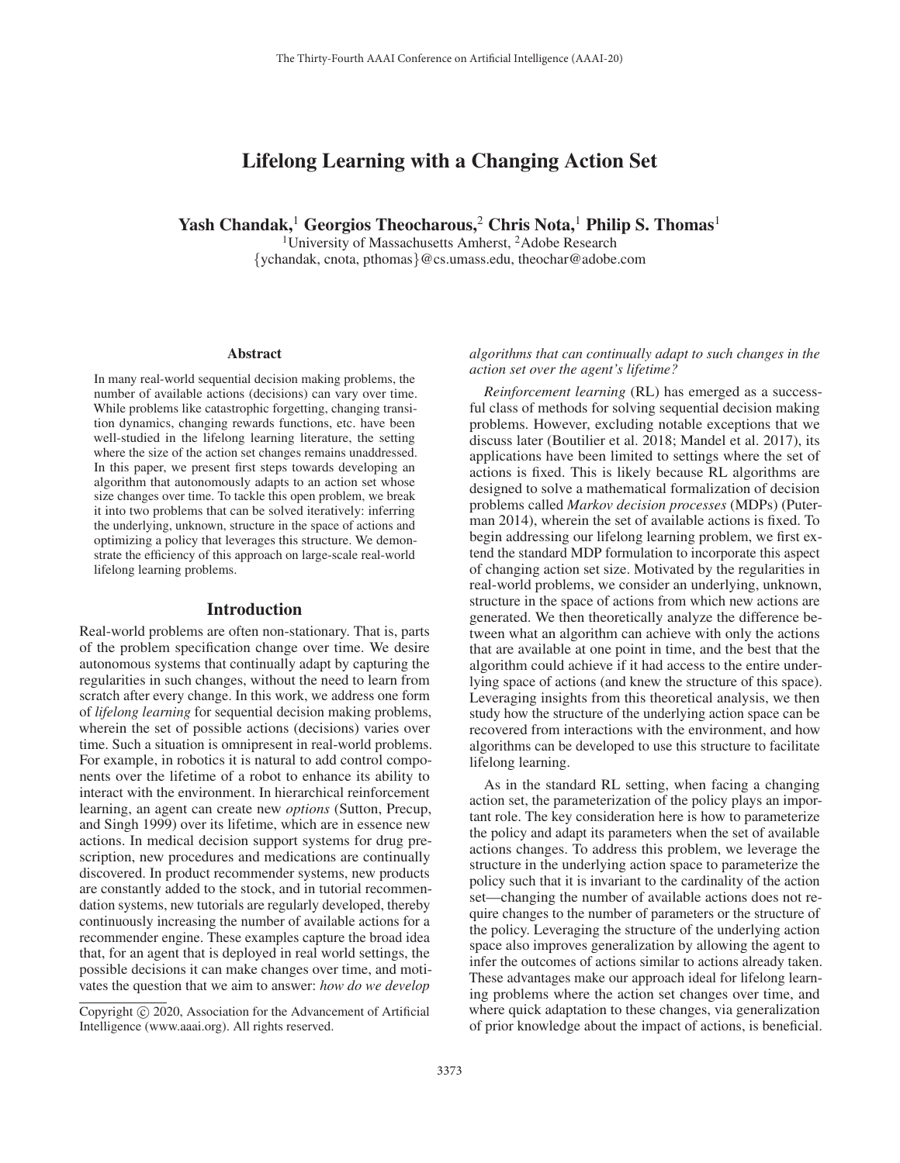# Lifelong Learning with a Changing Action Set

Yash Chandak,<sup>1</sup> Georgios Theocharous,<sup>2</sup> Chris Nota,<sup>1</sup> Philip S. Thomas<sup>1</sup>

<sup>1</sup>University of Massachusetts Amherst, <sup>2</sup>Adobe Research {ychandak, cnota, pthomas}@cs.umass.edu, theochar@adobe.com

#### **Abstract**

In many real-world sequential decision making problems, the number of available actions (decisions) can vary over time. While problems like catastrophic forgetting, changing transition dynamics, changing rewards functions, etc. have been well-studied in the lifelong learning literature, the setting where the size of the action set changes remains unaddressed. In this paper, we present first steps towards developing an algorithm that autonomously adapts to an action set whose size changes over time. To tackle this open problem, we break it into two problems that can be solved iteratively: inferring the underlying, unknown, structure in the space of actions and optimizing a policy that leverages this structure. We demonstrate the efficiency of this approach on large-scale real-world lifelong learning problems.

#### Introduction

Real-world problems are often non-stationary. That is, parts of the problem specification change over time. We desire autonomous systems that continually adapt by capturing the regularities in such changes, without the need to learn from scratch after every change. In this work, we address one form of *lifelong learning* for sequential decision making problems, wherein the set of possible actions (decisions) varies over time. Such a situation is omnipresent in real-world problems. For example, in robotics it is natural to add control components over the lifetime of a robot to enhance its ability to interact with the environment. In hierarchical reinforcement learning, an agent can create new *options* (Sutton, Precup, and Singh 1999) over its lifetime, which are in essence new actions. In medical decision support systems for drug prescription, new procedures and medications are continually discovered. In product recommender systems, new products are constantly added to the stock, and in tutorial recommendation systems, new tutorials are regularly developed, thereby continuously increasing the number of available actions for a recommender engine. These examples capture the broad idea that, for an agent that is deployed in real world settings, the possible decisions it can make changes over time, and motivates the question that we aim to answer: *how do we develop*

*algorithms that can continually adapt to such changes in the action set over the agent's lifetime?*

*Reinforcement learning* (RL) has emerged as a successful class of methods for solving sequential decision making problems. However, excluding notable exceptions that we discuss later (Boutilier et al. 2018; Mandel et al. 2017), its applications have been limited to settings where the set of actions is fixed. This is likely because RL algorithms are designed to solve a mathematical formalization of decision problems called *Markov decision processes* (MDPs) (Puterman 2014), wherein the set of available actions is fixed. To begin addressing our lifelong learning problem, we first extend the standard MDP formulation to incorporate this aspect of changing action set size. Motivated by the regularities in real-world problems, we consider an underlying, unknown, structure in the space of actions from which new actions are generated. We then theoretically analyze the difference between what an algorithm can achieve with only the actions that are available at one point in time, and the best that the algorithm could achieve if it had access to the entire underlying space of actions (and knew the structure of this space). Leveraging insights from this theoretical analysis, we then study how the structure of the underlying action space can be recovered from interactions with the environment, and how algorithms can be developed to use this structure to facilitate lifelong learning.

As in the standard RL setting, when facing a changing action set, the parameterization of the policy plays an important role. The key consideration here is how to parameterize the policy and adapt its parameters when the set of available actions changes. To address this problem, we leverage the structure in the underlying action space to parameterize the policy such that it is invariant to the cardinality of the action set—changing the number of available actions does not require changes to the number of parameters or the structure of the policy. Leveraging the structure of the underlying action space also improves generalization by allowing the agent to infer the outcomes of actions similar to actions already taken. These advantages make our approach ideal for lifelong learning problems where the action set changes over time, and where quick adaptation to these changes, via generalization of prior knowledge about the impact of actions, is beneficial.

Copyright  $\odot$  2020, Association for the Advancement of Artificial Intelligence (www.aaai.org). All rights reserved.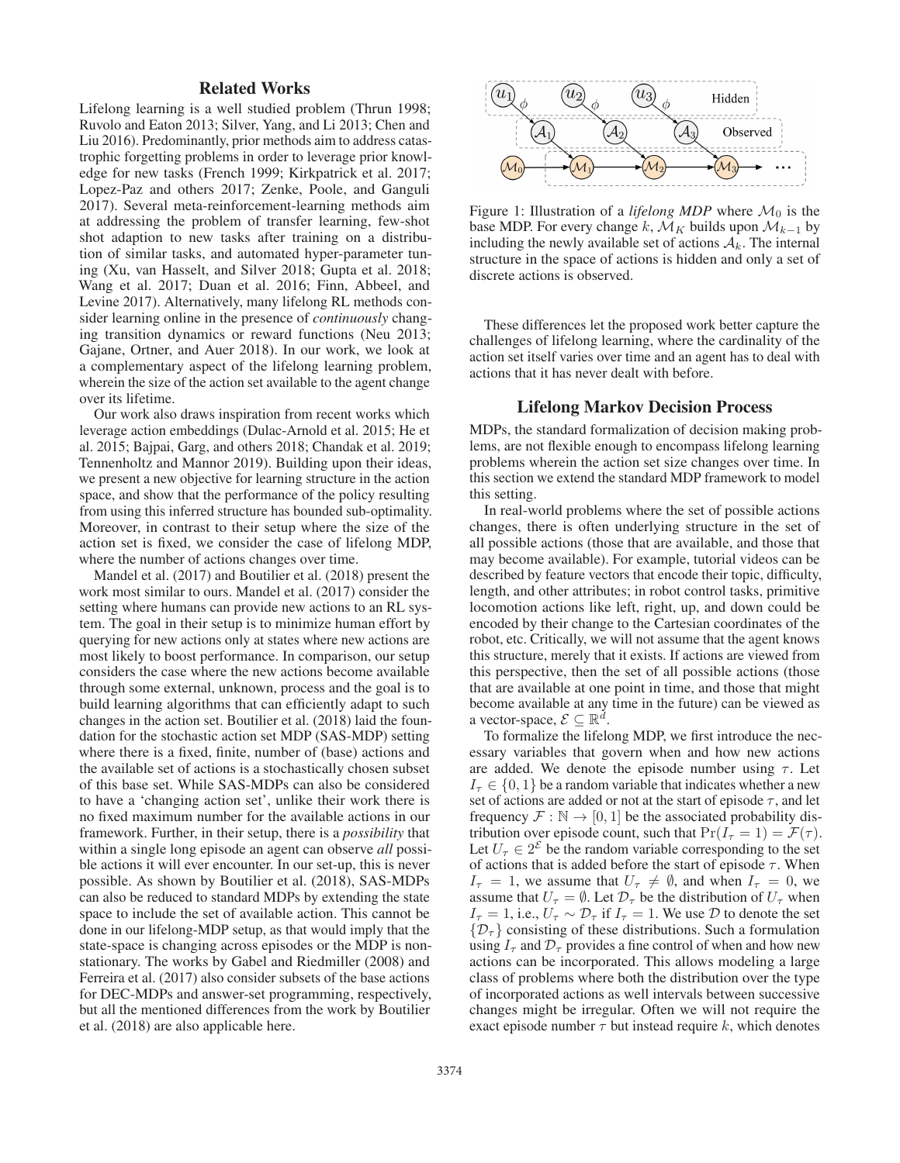# Related Works

Lifelong learning is a well studied problem (Thrun 1998; Ruvolo and Eaton 2013; Silver, Yang, and Li 2013; Chen and Liu 2016). Predominantly, prior methods aim to address catastrophic forgetting problems in order to leverage prior knowledge for new tasks (French 1999; Kirkpatrick et al. 2017; Lopez-Paz and others 2017; Zenke, Poole, and Ganguli 2017). Several meta-reinforcement-learning methods aim at addressing the problem of transfer learning, few-shot shot adaption to new tasks after training on a distribution of similar tasks, and automated hyper-parameter tuning (Xu, van Hasselt, and Silver 2018; Gupta et al. 2018; Wang et al. 2017; Duan et al. 2016; Finn, Abbeel, and Levine 2017). Alternatively, many lifelong RL methods consider learning online in the presence of *continuously* changing transition dynamics or reward functions (Neu 2013; Gajane, Ortner, and Auer 2018). In our work, we look at a complementary aspect of the lifelong learning problem, wherein the size of the action set available to the agent change over its lifetime.

Our work also draws inspiration from recent works which leverage action embeddings (Dulac-Arnold et al. 2015; He et al. 2015; Bajpai, Garg, and others 2018; Chandak et al. 2019; Tennenholtz and Mannor 2019). Building upon their ideas, we present a new objective for learning structure in the action space, and show that the performance of the policy resulting from using this inferred structure has bounded sub-optimality. Moreover, in contrast to their setup where the size of the action set is fixed, we consider the case of lifelong MDP, where the number of actions changes over time.

Mandel et al. (2017) and Boutilier et al. (2018) present the work most similar to ours. Mandel et al. (2017) consider the setting where humans can provide new actions to an RL system. The goal in their setup is to minimize human effort by querying for new actions only at states where new actions are most likely to boost performance. In comparison, our setup considers the case where the new actions become available through some external, unknown, process and the goal is to build learning algorithms that can efficiently adapt to such changes in the action set. Boutilier et al. (2018) laid the foundation for the stochastic action set MDP (SAS-MDP) setting where there is a fixed, finite, number of (base) actions and the available set of actions is a stochastically chosen subset of this base set. While SAS-MDPs can also be considered to have a 'changing action set', unlike their work there is no fixed maximum number for the available actions in our framework. Further, in their setup, there is a *possibility* that within a single long episode an agent can observe *all* possible actions it will ever encounter. In our set-up, this is never possible. As shown by Boutilier et al. (2018), SAS-MDPs can also be reduced to standard MDPs by extending the state space to include the set of available action. This cannot be done in our lifelong-MDP setup, as that would imply that the state-space is changing across episodes or the MDP is nonstationary. The works by Gabel and Riedmiller (2008) and Ferreira et al. (2017) also consider subsets of the base actions for DEC-MDPs and answer-set programming, respectively, but all the mentioned differences from the work by Boutilier et al. (2018) are also applicable here.



Figure 1: Illustration of a *lifelong MDP* where  $\mathcal{M}_0$  is the base MDP. For every change k,  $\mathcal{M}_K$  builds upon  $\mathcal{M}_{k-1}$  by including the newly available set of actions  $A_k$ . The internal structure in the space of actions is hidden and only a set of discrete actions is observed.

These differences let the proposed work better capture the challenges of lifelong learning, where the cardinality of the action set itself varies over time and an agent has to deal with actions that it has never dealt with before.

### Lifelong Markov Decision Process

MDPs, the standard formalization of decision making problems, are not flexible enough to encompass lifelong learning problems wherein the action set size changes over time. In this section we extend the standard MDP framework to model this setting.

In real-world problems where the set of possible actions changes, there is often underlying structure in the set of all possible actions (those that are available, and those that may become available). For example, tutorial videos can be described by feature vectors that encode their topic, difficulty, length, and other attributes; in robot control tasks, primitive locomotion actions like left, right, up, and down could be encoded by their change to the Cartesian coordinates of the robot, etc. Critically, we will not assume that the agent knows this structure, merely that it exists. If actions are viewed from this perspective, then the set of all possible actions (those that are available at one point in time, and those that might become available at any time in the future) can be viewed as a vector-space,  $\mathcal{E} \subset \mathbb{R}^d$ .

To formalize the lifelong MDP, we first introduce the necessary variables that govern when and how new actions are added. We denote the episode number using  $\tau$ . Let  $I_{\tau} \in \{0, 1\}$  be a random variable that indicates whether a new set of actions are added or not at the start of episode  $\tau$ , and let frequency  $\mathcal{F}: \mathbb{N} \to [0, 1]$  be the associated probability distribution over episode count, such that  $Pr(I_\tau = 1) = \mathcal{F}(\tau)$ . Let  $U_{\tau} \in 2^{\mathcal{E}}$  be the random variable corresponding to the set of actions that is added before the start of episode  $\tau$ . When  $I_{\tau} = 1$ , we assume that  $U_{\tau} \neq \emptyset$ , and when  $I_{\tau} = 0$ , we assume that  $U_{\tau} = \emptyset$ . Let  $\mathcal{D}_{\tau}$  be the distribution of  $U_{\tau}$  when  $I_{\tau} = 1$ , i.e.,  $U_{\tau} \sim \mathcal{D}_{\tau}$  if  $I_{\tau} = 1$ . We use  $\mathcal{D}$  to denote the set  $\{\mathcal{D}_{\tau}\}\)$  consisting of these distributions. Such a formulation using  $I_{\tau}$  and  $\mathcal{D}_{\tau}$  provides a fine control of when and how new actions can be incorporated. This allows modeling a large class of problems where both the distribution over the type of incorporated actions as well intervals between successive changes might be irregular. Often we will not require the exact episode number  $\tau$  but instead require k, which denotes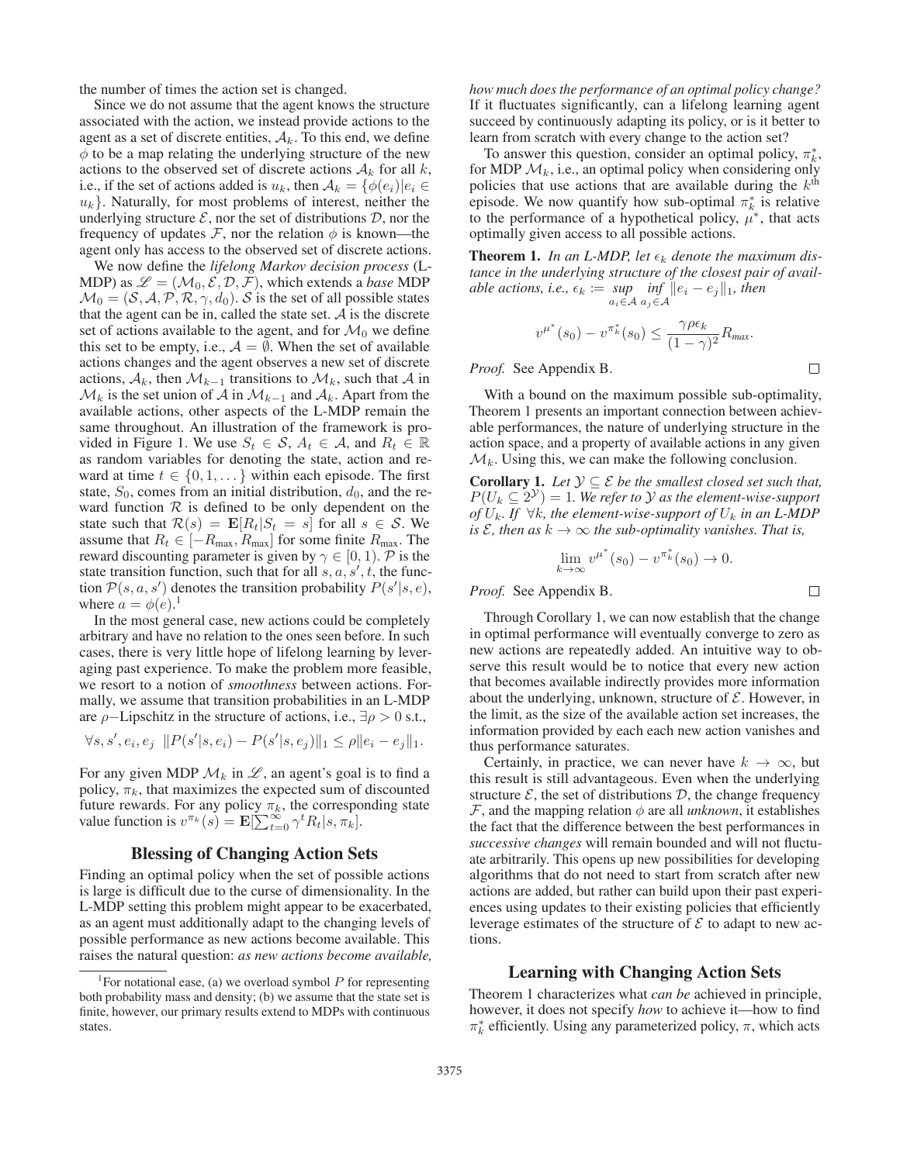the number of times the action set is changed.

Since we do not assume that the agent knows the structure associated with the action, we instead provide actions to the agent as a set of discrete entities,  $A_k$ . To this end, we define  $\phi$  to be a map relating the underlying structure of the new actions to the observed set of discrete actions  $A_k$  for all k, i.e., if the set of actions added is  $u_k$ , then  $A_k = {\phi(e_i)|e_i \in \mathbb{R}^d}$  $u_k$ . Naturally, for most problems of interest, neither the underlying structure  $\mathcal{E}$ , nor the set of distributions  $\mathcal{D}$ , nor the frequency of updates  $\mathcal F$ , nor the relation  $\phi$  is known—the agent only has access to the observed set of discrete actions.

We now define the *lifelong Markov decision process* (L-MDP) as  $\mathcal{L} = (\mathcal{M}_0, \mathcal{E}, \mathcal{D}, \mathcal{F})$ , which extends a *base* MDP  $\mathcal{M}_0 = (\mathcal{S}, \mathcal{A}, \mathcal{P}, \mathcal{R}, \gamma, d_0)$ . S is the set of all possible states that the agent can be in, called the state set.  $A$  is the discrete set of actions available to the agent, and for  $\mathcal{M}_0$  we define this set to be empty, i.e.,  $A = \emptyset$ . When the set of available actions changes and the agent observes a new set of discrete actions,  $A_k$ , then  $\mathcal{M}_{k-1}$  transitions to  $\mathcal{M}_k$ , such that A in  $\mathcal{M}_k$  is the set union of A in  $\mathcal{M}_{k-1}$  and  $\mathcal{A}_k$ . Apart from the available actions, other aspects of the L-MDP remain the same throughout. An illustration of the framework is provided in Figure 1. We use  $S_t \in \mathcal{S}, A_t \in \mathcal{A}$ , and  $R_t \in \mathbb{R}$ as random variables for denoting the state, action and reward at time  $t \in \{0, 1, \dots\}$  within each episode. The first state,  $S_0$ , comes from an initial distribution,  $d_0$ , and the reward function  $R$  is defined to be only dependent on the state such that  $\mathcal{R}(s) = \mathbf{E}[R_t|S_t = s]$  for all  $s \in \mathcal{S}$ . We assume that  $R_t \in [-R_{\text{max}}, R_{\text{max}}]$  for some finite  $R_{\text{max}}$ . The reward discounting parameter is given by  $\gamma \in [0, 1)$ . P is the state transition function, such that for all  $s, a, s', t$ , the function  $P(s, a, s')$  denotes the transition probability  $P(s'|s, e)$ ,<br>where  $a = \phi(e)^{-1}$ where  $a = \phi(e)$ .<sup>1</sup><br>In the most ger

In the most general case, new actions could be completely arbitrary and have no relation to the ones seen before. In such cases, there is very little hope of lifelong learning by leveraging past experience. To make the problem more feasible, we resort to a notion of *smoothness* between actions. Formally, we assume that transition probabilities in an L-MDP are  $\rho$ -Lipschitz in the structure of actions, i.e.,  $\exists \rho > 0$  s.t.,

$$
\forall s, s', e_i, e_j \ \ \|P(s'|s, e_i) - P(s'|s, e_j)\|_1 \leq \rho \|e_i - e_j\|_1.
$$

For any given MDP  $\mathcal{M}_k$  in  $\mathcal{L}$ , an agent's goal is to find a policy,  $\pi_k$ , that maximizes the expected sum of discounted future rewards. For any policy  $\pi_k$ , the corresponding state value function is  $v^{\pi_k}(s) = \mathbf{E}[\sum_{t=0}^{\infty} \gamma^t R_t | s, \pi_k].$ 

### Blessing of Changing Action Sets

Finding an optimal policy when the set of possible actions is large is difficult due to the curse of dimensionality. In the L-MDP setting this problem might appear to be exacerbated, as an agent must additionally adapt to the changing levels of possible performance as new actions become available. This raises the natural question: *as new actions become available,* *how much does the performance of an optimal policy change?* If it fluctuates significantly, can a lifelong learning agent succeed by continuously adapting its policy, or is it better to learn from scratch with every change to the action set?

To answer this question, consider an optimal policy,  $\pi_k^*$ , for MDP  $\mathcal{M}_k$ , i.e., an optimal policy when considering only policies that use actions that are available during the  $k^{\text{th}}$ episode. We now quantify how sub-optimal  $\pi_k^*$  is relative to the performance of a hypothetical policy,  $\mu^*$ , that acts optimally given access to all possible actions.

**Theorem 1.** In an L-MDP, let  $\epsilon_k$  denote the maximum dis*tance in the underlying structure of the closest pair of available actions, i.e.,*  $\epsilon_k := \sup_{a_i \in \mathcal{A}}$ *inf*  $a_j \in \mathcal{A}$  $||e_i - e_j||_1$ , then

$$
v^{\mu^*}(s_0) - v^{\pi^*_{k}}(s_0) \leq \frac{\gamma \rho \epsilon_k}{(1 - \gamma)^2} R_{\text{max}}.
$$

 $\Box$ 

 $\Box$ 

*Proof.* See Appendix B.

With a bound on the maximum possible sub-optimality, Theorem 1 presents an important connection between achievable performances, the nature of underlying structure in the action space, and a property of available actions in any given  $\mathcal{M}_k$ . Using this, we can make the following conclusion.

**Corollary 1.** Let  $\mathcal{Y} \subseteq \mathcal{E}$  be the smallest closed set such that,  $P(U_k \subseteq 2^{\mathcal{Y}})=1$ *. We refer to*  $\mathcal Y$  *as the element-wise-support of*  $U_k$ *. If*  $\forall k$ *, the element-wise-support of*  $U_k$  *in an L-MDP is*  $\mathcal{E}$ *, then as*  $k \to \infty$  *the sub-optimality vanishes. That is,* 

$$
\lim_{k \to \infty} v^{\mu^*}(s_0) - v^{\pi^*_{k}}(s_0) \to 0.
$$

*Proof.* See Appendix B.

Through Corollary 1, we can now establish that the change in optimal performance will eventually converge to zero as new actions are repeatedly added. An intuitive way to observe this result would be to notice that every new action that becomes available indirectly provides more information about the underlying, unknown, structure of  $\mathcal{E}$ . However, in the limit, as the size of the available action set increases, the information provided by each each new action vanishes and thus performance saturates.

Certainly, in practice, we can never have  $k \to \infty$ , but this result is still advantageous. Even when the underlying structure  $\mathcal{E}$ , the set of distributions  $\mathcal{D}$ , the change frequency F, and the mapping relation  $\phi$  are all *unknown*, it establishes the fact that the difference between the best performances in *successive changes* will remain bounded and will not fluctuate arbitrarily. This opens up new possibilities for developing algorithms that do not need to start from scratch after new actions are added, but rather can build upon their past experiences using updates to their existing policies that efficiently leverage estimates of the structure of  $\mathcal E$  to adapt to new actions.

## Learning with Changing Action Sets

Theorem 1 characterizes what *can be* achieved in principle, however, it does not specify *how* to achieve it—how to find  $\pi_k^*$  efficiently. Using any parameterized policy,  $\pi$ , which acts

<sup>&</sup>lt;sup>1</sup> For notational ease, (a) we overload symbol  $P$  for representing both probability mass and density; (b) we assume that the state set is finite, however, our primary results extend to MDPs with continuous states.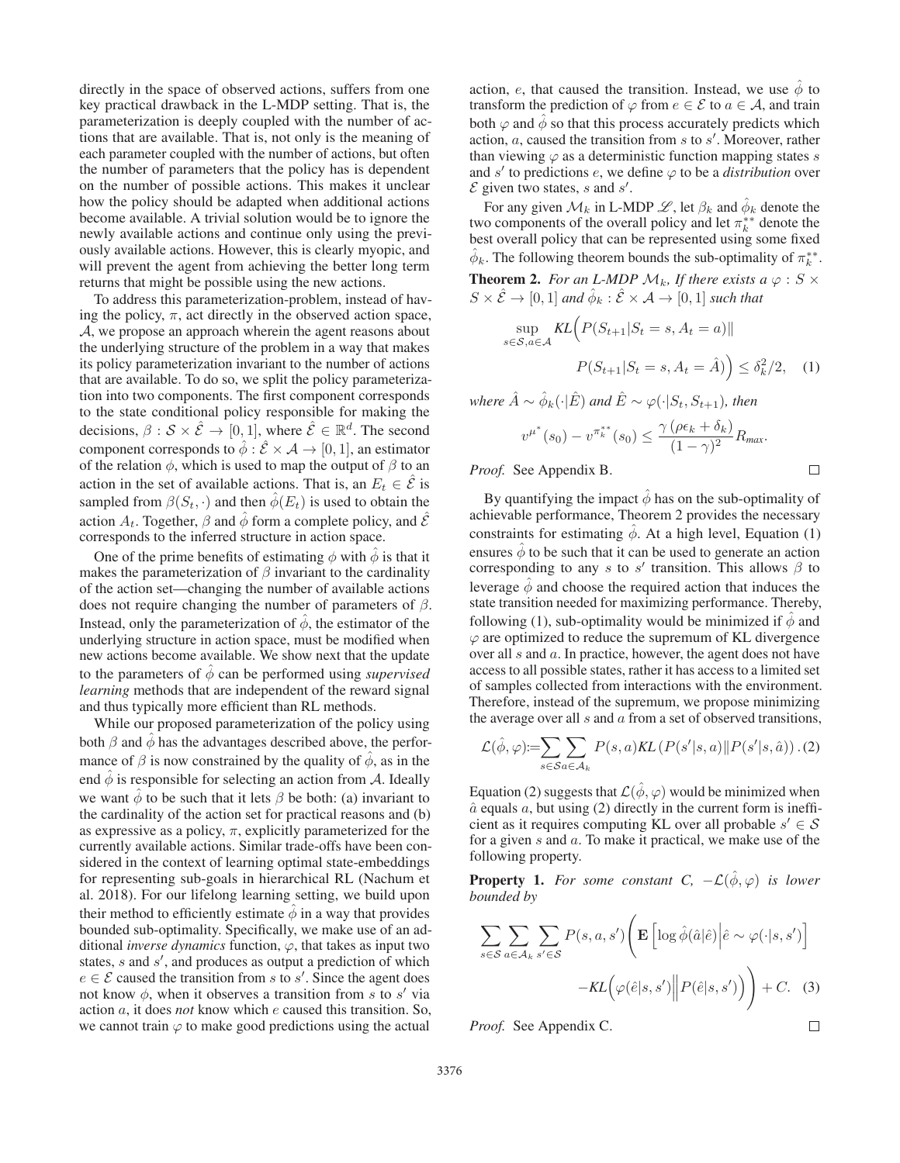directly in the space of observed actions, suffers from one key practical drawback in the L-MDP setting. That is, the parameterization is deeply coupled with the number of actions that are available. That is, not only is the meaning of each parameter coupled with the number of actions, but often the number of parameters that the policy has is dependent on the number of possible actions. This makes it unclear how the policy should be adapted when additional actions become available. A trivial solution would be to ignore the newly available actions and continue only using the previously available actions. However, this is clearly myopic, and will prevent the agent from achieving the better long term returns that might be possible using the new actions.

To address this parameterization-problem, instead of having the policy,  $\pi$ , act directly in the observed action space, A, we propose an approach wherein the agent reasons about the underlying structure of the problem in a way that makes its policy parameterization invariant to the number of actions that are available. To do so, we split the policy parameterization into two components. The first component corresponds to the state conditional policy responsible for making the decisions,  $\beta : \mathcal{S} \times \hat{\mathcal{E}} \to [0, 1]$ , where  $\hat{\mathcal{E}} \in \mathbb{R}^d$ . The second component corresponds to  $\hat{\phi}$  :  $\hat{\mathcal{E}} \times \mathcal{A} \rightarrow [0, 1]$ , an estimator of the relation  $\phi$ , which is used to map the output of  $\beta$  to an action in the set of available actions. That is, an  $E_t \in \mathcal{E}$  is sampled from  $\beta(S_t, \cdot)$  and then  $\hat{\phi}(E_t)$  is used to obtain the action  $A_t$ . Together,  $\beta$  and  $\hat{\phi}$  form a complete policy, and  $\hat{\mathcal{E}}$ corresponds to the inferred structure in action space.

One of the prime benefits of estimating  $\phi$  with  $\ddot{\phi}$  is that it makes the parameterization of  $\beta$  invariant to the cardinality of the action set—changing the number of available actions does not require changing the number of parameters of  $\beta$ . Instead, only the parameterization of  $\phi$ , the estimator of the underlying structure in action space, must be modified when new actions become available. We show next that the update to the parameters of  $\phi$  can be performed using *supervised learning* methods that are independent of the reward signal and thus typically more efficient than RL methods.

While our proposed parameterization of the policy using both  $\beta$  and  $\hat{\phi}$  has the advantages described above, the performance of  $\beta$  is now constrained by the quality of  $\hat{\phi}$ , as in the end  $\ddot{\phi}$  is responsible for selecting an action from A. Ideally we want  $\phi$  to be such that it lets  $\beta$  be both: (a) invariant to the cardinality of the action set for practical reasons and (b) as expressive as a policy,  $\pi$ , explicitly parameterized for the currently available actions. Similar trade-offs have been considered in the context of learning optimal state-embeddings for representing sub-goals in hierarchical RL (Nachum et al. 2018). For our lifelong learning setting, we build upon their method to efficiently estimate  $\phi$  in a way that provides bounded sub-optimality. Specifically, we make use of an additional *inverse dynamics* function,  $\varphi$ , that takes as input two states,  $s$  and  $s'$ , and produces as output a prediction of which  $e \in \mathcal{E}$  caused the transition from s to s'. Since the agent does not know  $\phi$ , when it observes a transition from s to s' via action a, it does *not* know which e caused this transition. So, we cannot train  $\varphi$  to make good predictions using the actual

action, e, that caused the transition. Instead, we use  $\hat{\phi}$  to transform the prediction of  $\varphi$  from  $e \in \mathcal{E}$  to  $a \in \mathcal{A}$ , and train both  $\varphi$  and  $\phi$  so that this process accurately predicts which action,  $a$ , caused the transition from  $s$  to  $s'$ . Moreover, rather than viewing  $\varphi$  as a deterministic function mapping states s and  $s'$  to predictions  $e$ , we define  $\varphi$  to be a *distribution* over  $\mathcal E$  given two states, s and s'.

For any given  $\mathcal{M}_k$  in L-MDP  $\mathcal{L}$ , let  $\beta_k$  and  $\phi_k$  denote the two components of the overall policy and let  $\pi_k^{**}$  denote the best overall policy that can be represented using some fixed  $\hat{\phi}_k$ . The following theorem bounds the sub-optimality of  $\pi_k^{**}$ .

**Theorem 2.** *For an L-MDP*  $M_k$ *, If there exists a*  $\varphi$  : *S*  $\times$  $S \times \hat{\mathcal{E}} \rightarrow [0, 1]$  and  $\hat{\phi}_k : \hat{\mathcal{E}} \times \mathcal{A} \rightarrow [0, 1]$  such that

$$
\sup_{s \in \mathcal{S}, a \in \mathcal{A}} KL\Big(P(S_{t+1}|S_t = s, A_t = a)\|\n\n P(S_{t+1}|S_t = s, A_t = \hat{A})\Big) \le \delta_k^2/2,\n\tag{1}
$$

*where*  $\hat{A} \sim \hat{\phi}_k(\cdot|\hat{E})$  *and*  $\hat{E} \sim \varphi(\cdot|S_t, S_{t+1})$ *, then* 

$$
v^{\mu^*}(s_0) - v^{\pi_k^{**}}(s_0) \le \frac{\gamma (\rho \epsilon_k + \delta_k)}{(1 - \gamma)^2} R_{\text{max}}.
$$

*Proof.* See Appendix B.

By quantifying the impact  $\ddot{\phi}$  has on the sub-optimality of achievable performance, Theorem 2 provides the necessary constraints for estimating  $\phi$ . At a high level, Equation (1) ensures  $\hat{\phi}$  to be such that it can be used to generate an action corresponding to any s to s' transition. This allows  $\beta$  to leverage  $\ddot{\phi}$  and choose the required action that induces the state transition needed for maximizing performance. Thereby, following (1), sub-optimality would be minimized if  $\phi$  and  $\varphi$  are optimized to reduce the supremum of KL divergence over all s and a. In practice, however, the agent does not have access to all possible states, rather it has access to a limited set of samples collected from interactions with the environment. Therefore, instead of the supremum, we propose minimizing the average over all  $s$  and  $a$  from a set of observed transitions,

$$
\mathcal{L}(\hat{\phi}, \varphi) := \sum_{s \in \mathcal{S}} \sum_{a \in \mathcal{A}_k} P(s, a) KL\left(P(s'|s, a) \| P(s'|s, \hat{a})\right). (2)
$$

Equation (2) suggests that  $\mathcal{L}(\hat{\phi}, \varphi)$  would be minimized when  $\hat{a}$  equals  $a$ , but using (2) directly in the current form is inefficient as it requires computing KL over all probable  $s' \in \mathcal{S}$ for a given  $s$  and  $a$ . To make it practical, we make use of the following property.

**Property 1.** For some constant C,  $-\mathcal{L}(\hat{\phi}, \varphi)$  is lower *bounded by*

$$
\sum_{s \in \mathcal{S}} \sum_{a \in \mathcal{A}_k} \sum_{s' \in \mathcal{S}} P(s, a, s') \left( \mathbf{E} \left[ \log \hat{\phi}(\hat{a}|\hat{e}) \middle| \hat{e} \sim \varphi(\cdot|s, s') \right] - KL \left( \varphi(\hat{e}|s, s') \middle| P(\hat{e}|s, s') \right) \right) + C. \quad (3)
$$

*Proof.* See Appendix C.

 $\Box$ 

 $\Box$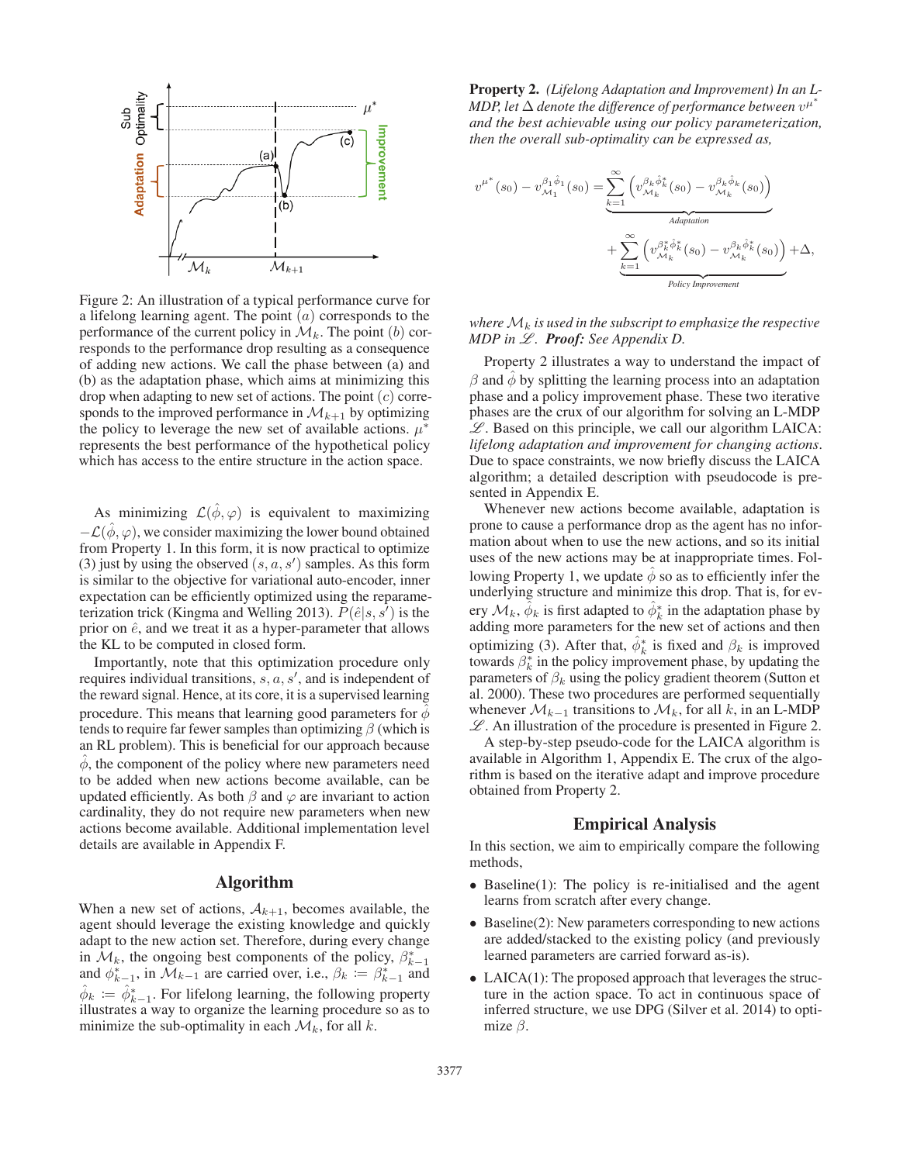

Figure 2: An illustration of a typical performance curve for a lifelong learning agent. The point  $(a)$  corresponds to the performance of the current policy in  $\mathcal{M}_k$ . The point (b) corresponds to the performance drop resulting as a consequence of adding new actions. We call the phase between (a) and (b) as the adaptation phase, which aims at minimizing this drop when adapting to new set of actions. The point  $(c)$  corresponds to the improved performance in  $\mathcal{M}_{k+1}$  by optimizing the policy to leverage the new set of available actions.  $\mu^*$ represents the best performance of the hypothetical policy which has access to the entire structure in the action space.

As minimizing  $\mathcal{L}(\phi, \varphi)$  is equivalent to maximizing  $-\mathcal{L}(\hat{\phi}, \varphi)$ , we consider maximizing the lower bound obtained from Property 1. In this form, it is now practical to optimize (3) just by using the observed  $(s, a, s')$  samples. As this form<br>is similar to the objective for variational auto-encoder inner is similar to the objective for variational auto-encoder, inner expectation can be efficiently optimized using the reparameterization trick (Kingma and Welling 2013).  $\tilde{P}(\hat{e}|s, s^{\prime})$  is the prior on  $\hat{e}$  and we treat it as a hyper-parameter that allows prior on  $\hat{e}$ , and we treat it as a hyper-parameter that allows the KL to be computed in closed form.

Importantly, note that this optimization procedure only requires individual transitions,  $s, a, s'$ , and is independent of the reward signal. Hence, at its core, it is a supervised learning procedure. This means that learning good parameters for  $\phi$ tends to require far fewer samples than optimizing  $\beta$  (which is an RL problem). This is beneficial for our approach because  $\phi$ , the component of the policy where new parameters need to be added when new actions become available, can be updated efficiently. As both  $\beta$  and  $\varphi$  are invariant to action cardinality, they do not require new parameters when new actions become available. Additional implementation level details are available in Appendix F.

#### Algorithm

When a new set of actions,  $A_{k+1}$ , becomes available, the agent should leverage the existing knowledge and quickly adapt to the new action set. Therefore, during every change in  $\mathcal{M}_k$ , the ongoing best components of the policy,  $\beta_{k-1}^*$ and  $\phi_{k-1}^*$ , in  $\mathcal{M}_{k-1}$  are carried over, i.e.,  $\beta_k := \beta_{k-1}^*$  and  $\hat{\phi}_k := \hat{\phi}_{k-1}^*$ . For lifelong learning, the following property illustrates a way to organize the learning procedure so as to illustrates a way to organize the learning procedure so as to minimize the sub-optimality in each  $\mathcal{M}_k$ , for all k.

Property 2. *(Lifelong Adaptation and Improvement) In an L-MDP, let*  $\Delta$  *denote the difference of performance between*  $v^{\mu^*}$ *and the best achievable using our policy parameterization, then the overall sub-optimality can be expressed as,*

$$
v^{\mu^*}(s_0) - v_{\mathcal{M}_1}^{\beta_1 \hat{\phi}_1}(s_0) = \sum_{k=1}^{\infty} \left( v_{\mathcal{M}_k}^{\beta_k \hat{\phi}_k^*}(s_0) - v_{\mathcal{M}_k}^{\beta_k \hat{\phi}_k}(s_0) \right)
$$
  
Adaptation  

$$
+ \sum_{k=1}^{\infty} \left( v_{\mathcal{M}_k}^{\beta_k^* \hat{\phi}_k^*}(s_0) - v_{\mathcal{M}_k}^{\beta_k \hat{\phi}_k^*}(s_0) \right) + \Delta,
$$
  
Policy *Improvement*

#### *where*  $\mathcal{M}_k$  *is used in the subscript to emphasize the respective MDP in*  $\mathcal{L}$ *. Proof: See Appendix D.*

Property 2 illustrates a way to understand the impact of  $\beta$  and  $\phi$  by splitting the learning process into an adaptation phase and a policy improvement phase. These two iterative phases are the crux of our algorithm for solving an L-MDP  $L$ . Based on this principle, we call our algorithm LAICA: *lifelong adaptation and improvement for changing actions*. Due to space constraints, we now briefly discuss the LAICA algorithm; a detailed description with pseudocode is presented in Appendix E.

Whenever new actions become available, adaptation is prone to cause a performance drop as the agent has no information about when to use the new actions, and so its initial uses of the new actions may be at inappropriate times. Following Property 1, we update  $\hat{\phi}$  so as to efficiently infer the underlying structure and minimize this drop. That is, for every  $\mathcal{M}_k$ ,  $\hat{\phi}_k$  is first adapted to  $\hat{\phi}_k^*$  in the adaptation phase by adding more parameters for the new set of actions and then optimizing (3). After that,  $\hat{\phi}_k^*$  is fixed and  $\beta_k$  is improved<br>terms of  $\hat{\phi}_k^*$  is the policy improvement phase by undeting the towards  $\beta_k^*$  in the policy improvement phase, by updating the parameters of  $\beta_k$  using the policy gradient theorem (Sutton et al. 2000). These two procedures are performed sequentially whenever  $\mathcal{M}_{k-1}$  transitions to  $\mathcal{M}_k$ , for all k, in an L-MDP  $\mathscr L$ . An illustration of the procedure is presented in Figure 2.

A step-by-step pseudo-code for the LAICA algorithm is available in Algorithm 1, Appendix E. The crux of the algorithm is based on the iterative adapt and improve procedure obtained from Property 2.

## Empirical Analysis

In this section, we aim to empirically compare the following methods,

- Baseline(1): The policy is re-initialised and the agent learns from scratch after every change.
- Baseline(2): New parameters corresponding to new actions are added/stacked to the existing policy (and previously learned parameters are carried forward as-is).
- LAICA(1): The proposed approach that leverages the structure in the action space. To act in continuous space of inferred structure, we use DPG (Silver et al. 2014) to optimize  $\beta$ .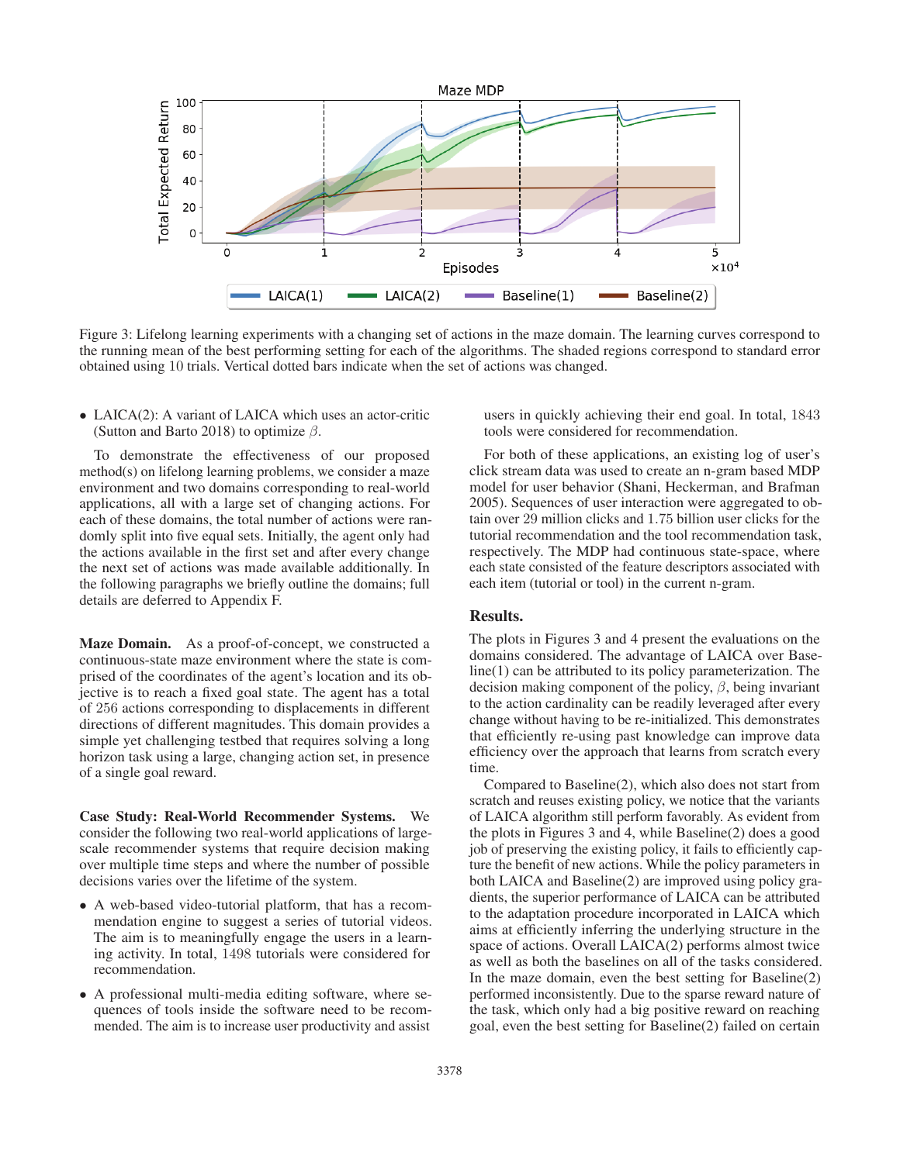

Figure 3: Lifelong learning experiments with a changing set of actions in the maze domain. The learning curves correspond to the running mean of the best performing setting for each of the algorithms. The shaded regions correspond to standard error obtained using 10 trials. Vertical dotted bars indicate when the set of actions was changed.

• LAICA(2): A variant of LAICA which uses an actor-critic (Sutton and Barto 2018) to optimize  $\beta$ .

To demonstrate the effectiveness of our proposed method(s) on lifelong learning problems, we consider a maze environment and two domains corresponding to real-world applications, all with a large set of changing actions. For each of these domains, the total number of actions were randomly split into five equal sets. Initially, the agent only had the actions available in the first set and after every change the next set of actions was made available additionally. In the following paragraphs we briefly outline the domains; full details are deferred to Appendix F.

Maze Domain. As a proof-of-concept, we constructed a continuous-state maze environment where the state is comprised of the coordinates of the agent's location and its objective is to reach a fixed goal state. The agent has a total of <sup>256</sup> actions corresponding to displacements in different directions of different magnitudes. This domain provides a simple yet challenging testbed that requires solving a long horizon task using a large, changing action set, in presence of a single goal reward.

Case Study: Real-World Recommender Systems. We consider the following two real-world applications of largescale recommender systems that require decision making over multiple time steps and where the number of possible decisions varies over the lifetime of the system.

- A web-based video-tutorial platform, that has a recommendation engine to suggest a series of tutorial videos. The aim is to meaningfully engage the users in a learning activity. In total, 1498 tutorials were considered for recommendation.
- A professional multi-media editing software, where sequences of tools inside the software need to be recommended. The aim is to increase user productivity and assist

users in quickly achieving their end goal. In total, 1843 tools were considered for recommendation.

For both of these applications, an existing log of user's click stream data was used to create an n-gram based MDP model for user behavior (Shani, Heckerman, and Brafman 2005). Sequences of user interaction were aggregated to obtain over 29 million clicks and 1.75 billion user clicks for the tutorial recommendation and the tool recommendation task, respectively. The MDP had continuous state-space, where each state consisted of the feature descriptors associated with each item (tutorial or tool) in the current n-gram.

#### Results.

The plots in Figures 3 and 4 present the evaluations on the domains considered. The advantage of LAICA over Baseline(1) can be attributed to its policy parameterization. The decision making component of the policy,  $\beta$ , being invariant to the action cardinality can be readily leveraged after every change without having to be re-initialized. This demonstrates that efficiently re-using past knowledge can improve data efficiency over the approach that learns from scratch every time.

Compared to Baseline(2), which also does not start from scratch and reuses existing policy, we notice that the variants of LAICA algorithm still perform favorably. As evident from the plots in Figures 3 and 4, while Baseline(2) does a good job of preserving the existing policy, it fails to efficiently capture the benefit of new actions. While the policy parameters in both LAICA and Baseline(2) are improved using policy gradients, the superior performance of LAICA can be attributed to the adaptation procedure incorporated in LAICA which aims at efficiently inferring the underlying structure in the space of actions. Overall LAICA(2) performs almost twice as well as both the baselines on all of the tasks considered. In the maze domain, even the best setting for Baseline(2) performed inconsistently. Due to the sparse reward nature of the task, which only had a big positive reward on reaching goal, even the best setting for Baseline(2) failed on certain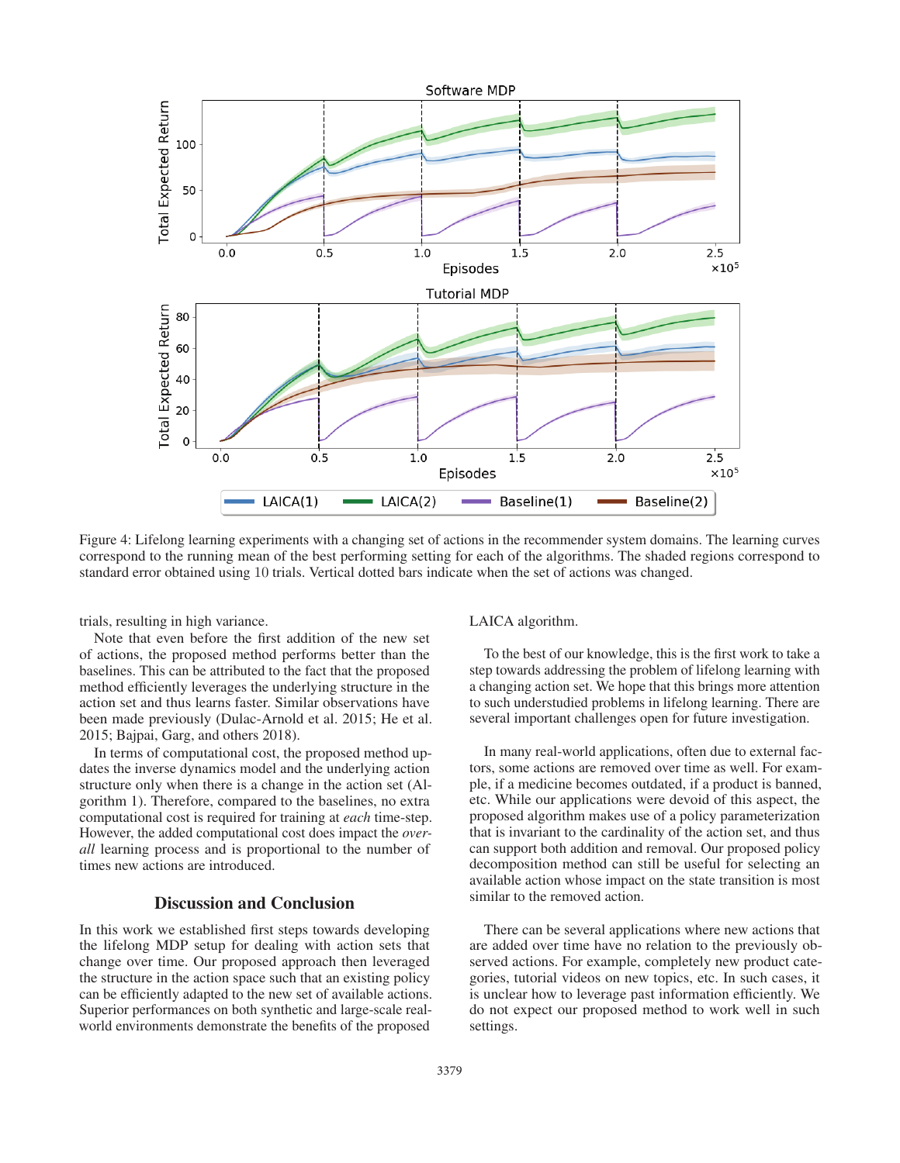

Figure 4: Lifelong learning experiments with a changing set of actions in the recommender system domains. The learning curves correspond to the running mean of the best performing setting for each of the algorithms. The shaded regions correspond to standard error obtained using 10 trials. Vertical dotted bars indicate when the set of actions was changed.

trials, resulting in high variance.

Note that even before the first addition of the new set of actions, the proposed method performs better than the baselines. This can be attributed to the fact that the proposed method efficiently leverages the underlying structure in the action set and thus learns faster. Similar observations have been made previously (Dulac-Arnold et al. 2015; He et al. 2015; Bajpai, Garg, and others 2018).

In terms of computational cost, the proposed method updates the inverse dynamics model and the underlying action structure only when there is a change in the action set (Algorithm 1). Therefore, compared to the baselines, no extra computational cost is required for training at *each* time-step. However, the added computational cost does impact the *overall* learning process and is proportional to the number of times new actions are introduced.

### Discussion and Conclusion

In this work we established first steps towards developing the lifelong MDP setup for dealing with action sets that change over time. Our proposed approach then leveraged the structure in the action space such that an existing policy can be efficiently adapted to the new set of available actions. Superior performances on both synthetic and large-scale realworld environments demonstrate the benefits of the proposed

LAICA algorithm.

To the best of our knowledge, this is the first work to take a step towards addressing the problem of lifelong learning with a changing action set. We hope that this brings more attention to such understudied problems in lifelong learning. There are several important challenges open for future investigation.

In many real-world applications, often due to external factors, some actions are removed over time as well. For example, if a medicine becomes outdated, if a product is banned, etc. While our applications were devoid of this aspect, the proposed algorithm makes use of a policy parameterization that is invariant to the cardinality of the action set, and thus can support both addition and removal. Our proposed policy decomposition method can still be useful for selecting an available action whose impact on the state transition is most similar to the removed action.

There can be several applications where new actions that are added over time have no relation to the previously observed actions. For example, completely new product categories, tutorial videos on new topics, etc. In such cases, it is unclear how to leverage past information efficiently. We do not expect our proposed method to work well in such settings.